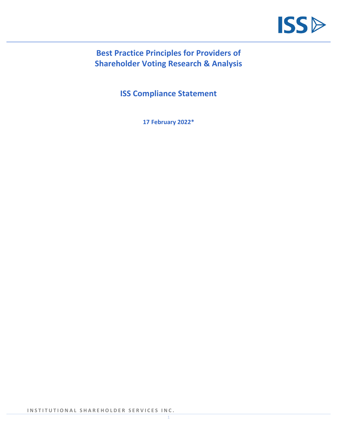

# **Best Practice Principles for Providers of Shareholder Voting Research & Analysis**

**ISS Compliance Statement**

**17 February 2022\***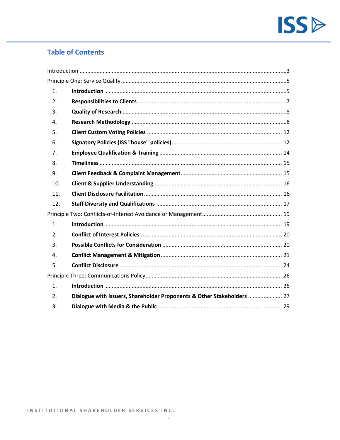

# **Table of Contents**

|  | 1.             |                                                                        |  |  |  |  |  |
|--|----------------|------------------------------------------------------------------------|--|--|--|--|--|
|  | 2.             |                                                                        |  |  |  |  |  |
|  | 3.             |                                                                        |  |  |  |  |  |
|  | 4.             |                                                                        |  |  |  |  |  |
|  | 5.             |                                                                        |  |  |  |  |  |
|  | 6.             |                                                                        |  |  |  |  |  |
|  | 7 <sub>1</sub> |                                                                        |  |  |  |  |  |
|  | 8.             |                                                                        |  |  |  |  |  |
|  | 9.             |                                                                        |  |  |  |  |  |
|  | 10.            |                                                                        |  |  |  |  |  |
|  | 11.            |                                                                        |  |  |  |  |  |
|  | 12.            |                                                                        |  |  |  |  |  |
|  |                |                                                                        |  |  |  |  |  |
|  | $\mathbf{1}$ . |                                                                        |  |  |  |  |  |
|  | 2.             |                                                                        |  |  |  |  |  |
|  | 3.             |                                                                        |  |  |  |  |  |
|  | $\mathbf{4}$ . |                                                                        |  |  |  |  |  |
|  | 5.             |                                                                        |  |  |  |  |  |
|  |                |                                                                        |  |  |  |  |  |
|  | 1.             |                                                                        |  |  |  |  |  |
|  | 2.             | Dialogue with Issuers, Shareholder Proponents & Other Stakeholders  27 |  |  |  |  |  |
|  | 3.             |                                                                        |  |  |  |  |  |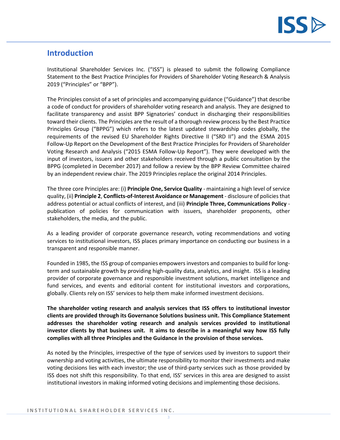

# <span id="page-2-0"></span>**Introduction**

Institutional Shareholder Services Inc. ("ISS") is pleased to submit the following Compliance Statement to the Best Practice Principles for Providers of Shareholder Voting Research & Analysis 2019 ("Principles" or "BPP").

The Principles consist of a set of principles and accompanying guidance ("Guidance") that describe a code of conduct for providers of shareholder voting research and analysis. They are designed to facilitate transparency and assist BPP Signatories' conduct in discharging their responsibilities toward their clients. The Principles are the result of a thorough review process by the Best Practice Principles Group ("BPPG") which refers to the latest updated stewardship codes globally, the requirements of the revised EU Shareholder Rights Directive II ("SRD II") and the ESMA 2015 Follow-Up Report on the Development of the Best Practice Principles for Providers of Shareholder Voting Research and Analysis ("2015 ESMA Follow-Up Report"). They were developed with the input of investors, issuers and other stakeholders received through a public consultation by the BPPG (completed in December 2017) and follow a review by the BPP Review Committee chaired by an independent review chair. The 2019 Principles replace the original 2014 Principles.

The three core Principles are: (i) **Principle One, Service Quality** - maintaining a high level of service quality, (ii) **Principle 2**, **Conflicts-of-Interest Avoidance or Management** - disclosure of policies that address potential or actual conflicts of interest, and (iii) **Principle Three, Communications Policy** publication of policies for communication with issuers, shareholder proponents, other stakeholders, the media, and the public.

As a leading provider of corporate governance research, voting recommendations and voting services to institutional investors, ISS places primary importance on conducting our business in a transparent and responsible manner.

Founded in 1985, the ISS group of companies empowers investors and companies to build for longterm and sustainable growth by providing high-quality data, analytics, and insight. ISS is a leading provider of corporate governance and responsible investment solutions, market intelligence and fund services, and events and editorial content for institutional investors and corporations, globally. Clients rely on ISS' services to help them make informed investment decisions.

**The shareholder voting research and analysis services that ISS offers to institutional investor clients are provided through its Governance Solutions business unit. This Compliance Statement addresses the shareholder voting research and analysis services provided to institutional investor clients by that business unit. It aims to describe in a meaningful way how ISS fully complies with all three Principles and the Guidance in the provision of those services.**

As noted by the Principles, irrespective of the type of services used by investors to support their ownership and voting activities, the ultimate responsibility to monitor their investments and make voting decisions lies with each investor; the use of third-party services such as those provided by ISS does not shift this responsibility. To that end, ISS' services in this area are designed to assist institutional investors in making informed voting decisions and implementing those decisions.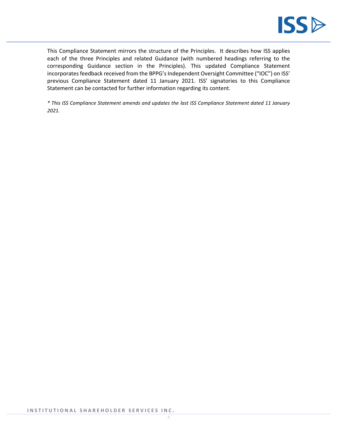

This Compliance Statement mirrors the structure of the Principles. It describes how ISS applies each of the three Principles and related Guidance (with numbered headings referring to the corresponding Guidance section in the Principles). This updated Compliance Statement incorporates feedback received from the BPPG's Independent Oversight Committee ("IOC") on ISS' previous Compliance Statement dated 11 January 2021. ISS' signatories to this Compliance Statement can be contacted for further information regarding its content.

*\* This ISS Compliance Statement amends and updates the last ISS Compliance Statement dated 11 January 2021.*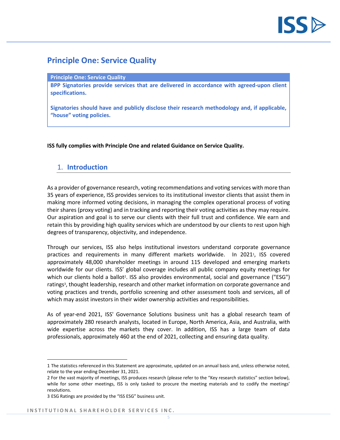

# <span id="page-4-0"></span>**Principle One: Service Quality**

#### **Principle One: Service Quality**

**BPP Signatories provide services that are delivered in accordance with agreed-upon client specifications.**

**Signatories should have and publicly disclose their research methodology and, if applicable, "house" voting policies.**

**ISS fully complies with Principle One and related Guidance on Service Quality.**

## <span id="page-4-1"></span>1. **Introduction**

As a provider of governance research, voting recommendations and voting services with more than 35 years of experience, ISS provides services to its institutional investor clients that assist them in making more informed voting decisions, in managing the complex operational process of voting their shares (proxy voting) and in tracking and reporting their voting activities as they may require. Our aspiration and goal is to serve our clients with their full trust and confidence. We earn and retain this by providing high quality services which are understood by our clients to rest upon high degrees of transparency, objectivity, and independence.

Through our services, ISS also helps institutional investors understand corporate governance practices and requirements in many different markets worldwide. In 2021<sup>1</sup>, ISS covered approximately 48,000 shareholder meetings in around 115 developed and emerging markets worldwide for our clients. ISS' global coverage includes all public company equity meetings for which our clients hold a ballot<sup>2</sup>. ISS also provides environmental, social and governance ("ESG") ratings<sup>3</sup>, thought leadership, research and other market information on corporate governance and voting practices and trends, portfolio screening and other assessment tools and services, all of which may assist investors in their wider ownership activities and responsibilities.

As of year-end 2021, ISS' Governance Solutions business unit has a global research team of approximately 280 research analysts, located in Europe, North America, Asia, and Australia, with wide expertise across the markets they cover. In addition, ISS has a large team of data professionals, approximately 460 at the end of 2021, collecting and ensuring data quality.

<sup>1</sup> The statistics referenced in this Statement are approximate, updated on an annual basis and, unless otherwise noted, relate to the year ending December 31, 2021.

<sup>2</sup> For the vast majority of meetings, ISS produces research (please refer to the "Key research statistics" section below), while for some other meetings, ISS is only tasked to procure the meeting materials and to codify the meetings' resolutions.

<sup>3</sup> ESG Ratings are provided by the "ISS ESG" business unit.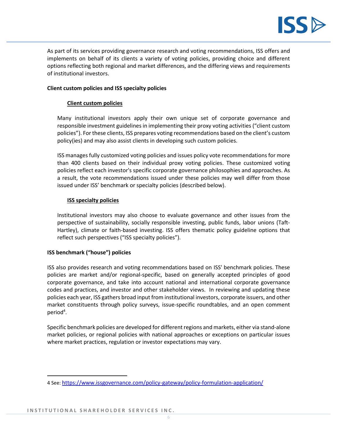

As part of its services providing governance research and voting recommendations, ISS offers and implements on behalf of its clients a variety of voting policies, providing choice and different options reflecting both regional and market differences, and the differing views and requirements of institutional investors.

## **Client custom policies and ISS specialty policies**

## **Client custom policies**

Many institutional investors apply their own unique set of corporate governance and responsible investment guidelines in implementing their proxy voting activities ("client custom policies"). For these clients, ISS prepares voting recommendations based on the client's custom policy(ies) and may also assist clients in developing such custom policies.

ISS manages fully customized voting policies and issues policy vote recommendations for more than 400 clients based on their individual proxy voting policies. These customized voting policies reflect each investor's specific corporate governance philosophies and approaches. As a result, the vote recommendations issued under these policies may well differ from those issued under ISS' benchmark or specialty policies (described below).

## **ISS specialty policies**

Institutional investors may also choose to evaluate governance and other issues from the perspective of sustainability, socially responsible investing, public funds, labor unions (Taft-Hartley), climate or faith-based investing. ISS offers thematic policy guideline options that reflect such perspectives ("ISS specialty policies").

## **ISS benchmark ("house") policies**

ISS also provides research and voting recommendations based on ISS' benchmark policies. These policies are market and/or regional-specific, based on generally accepted principles of good corporate governance, and take into account national and international corporate governance codes and practices, and investor and other stakeholder views. In reviewing and updating these policies each year, ISS gathers broad input from institutional investors, corporate issuers, and other market constituents through policy surveys, issue-specific roundtables, and an open comment period<sup>4</sup>.

Specific benchmark policies are developed for different regions and markets, either via stand-alone market policies, or regional policies with national approaches or exceptions on particular issues where market practices, regulation or investor expectations may vary.

<sup>4</sup> See: <https://www.issgovernance.com/policy-gateway/policy-formulation-application/>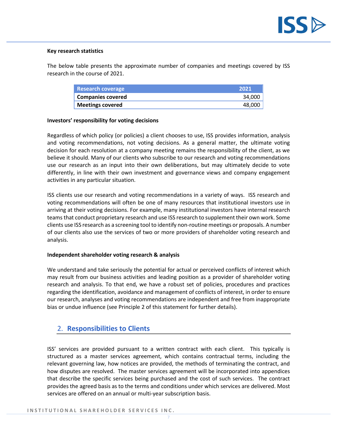

### **Key research statistics**

The below table presents the approximate number of companies and meetings covered by ISS research in the course of 2021.

| <b>Research coverage</b> | <b>2021</b> |
|--------------------------|-------------|
| <b>Companies covered</b> | 34.000      |
| <b>Meetings covered</b>  | 48.000      |

#### **Investors' responsibility for voting decisions**

Regardless of which policy (or policies) a client chooses to use, ISS provides information, analysis and voting recommendations, not voting decisions. As a general matter, the ultimate voting decision for each resolution at a company meeting remains the responsibility of the client, as we believe it should. Many of our clients who subscribe to our research and voting recommendations use our research as an input into their own deliberations, but may ultimately decide to vote differently, in line with their own investment and governance views and company engagement activities in any particular situation.

ISS clients use our research and voting recommendations in a variety of ways. ISS research and voting recommendations will often be one of many resources that institutional investors use in arriving at their voting decisions. For example, many institutional investors have internal research teams that conduct proprietary research and use ISS research to supplement their own work. Some clients use ISS research as a screening tool to identify non-routine meetings or proposals. A number of our clients also use the services of two or more providers of shareholder voting research and analysis.

#### **Independent shareholder voting research & analysis**

We understand and take seriously the potential for actual or perceived conflicts of interest which may result from our business activities and leading position as a provider of shareholder voting research and analysis. To that end, we have a robust set of policies, procedures and practices regarding the identification, avoidance and management of conflicts of interest, in order to ensure our research, analyses and voting recommendations are independent and free from inappropriate bias or undue influence (see Principle 2 of this statement for further details).

## <span id="page-6-0"></span>2. **Responsibilities to Clients**

ISS' services are provided pursuant to a written contract with each client. This typically is structured as a master services agreement, which contains contractual terms, including the relevant governing law, how notices are provided, the methods of terminating the contract, and how disputes are resolved. The master services agreement will be incorporated into appendices that describe the specific services being purchased and the cost of such services. The contract provides the agreed basis as to the terms and conditions under which services are delivered. Most services are offered on an annual or multi-year subscription basis.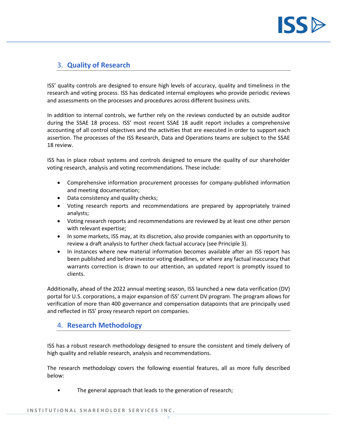

# <span id="page-7-0"></span>3. **Quality of Research**

ISS' quality controls are designed to ensure high levels of accuracy, quality and timeliness in the research and voting process. ISS has dedicated internal employees who provide periodic reviews and assessments on the processes and procedures across different business units.

In addition to internal controls, we further rely on the reviews conducted by an outside auditor during the SSAE 18 process. ISS' most recent SSAE 18 audit report includes a comprehensive accounting of all control objectives and the activities that are executed in order to support each assertion. The processes of the ISS Research, Data and Operations teams are subject to the SSAE 18 review.

ISS has in place robust systems and controls designed to ensure the quality of our shareholder voting research, analysis and voting recommendations. These include:

- Comprehensive information procurement processes for company-published information and meeting documentation;
- Data consistency and quality checks;
- Voting research reports and recommendations are prepared by appropriately trained analysts;
- Voting research reports and recommendations are reviewed by at least one other person with relevant expertise;
- In some markets, ISS may, at its discretion, also provide companies with an opportunity to review a draft analysis to further check factual accuracy (see Principle 3).
- In instances where new material information becomes available after an ISS report has been published and before investor voting deadlines, or where any factual inaccuracy that warrants correction is drawn to our attention, an updated report is promptly issued to clients.

Additionally, ahead of the 2022 annual meeting season, ISS launched a new data verification (DV) portal for U.S. corporations, a major expansion of ISS' current DV program. The program allows for verification of more than 400 governance and compensation datapoints that are principally used and reflected in ISS' proxy research report on companies.

# <span id="page-7-1"></span>4. **Research Methodology**

ISS has a robust research methodology designed to ensure the consistent and timely delivery of high quality and reliable research, analysis and recommendations.

The research methodology covers the following essential features, all as more fully described below:

The general approach that leads to the generation of research;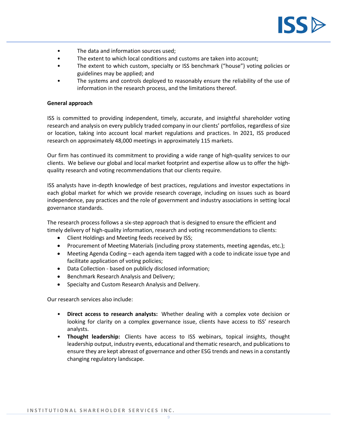

- The data and information sources used;
- The extent to which local conditions and customs are taken into account;
- The extent to which custom, specialty or ISS benchmark ("house") voting policies or guidelines may be applied; and
- The systems and controls deployed to reasonably ensure the reliability of the use of information in the research process, and the limitations thereof.

#### **General approach**

ISS is committed to providing independent, timely, accurate, and insightful shareholder voting research and analysis on every publicly traded company in our clients' portfolios, regardless of size or location, taking into account local market regulations and practices. In 2021, ISS produced research on approximately 48,000 meetings in approximately 115 markets.

Our firm has continued its commitment to providing a wide range of high-quality services to our clients. We believe our global and local market footprint and expertise allow us to offer the highquality research and voting recommendations that our clients require.

ISS analysts have in-depth knowledge of best practices, regulations and investor expectations in each global market for which we provide research coverage, including on issues such as board independence, pay practices and the role of government and industry associations in setting local governance standards.

The research process follows a six-step approach that is designed to ensure the efficient and timely delivery of high-quality information, research and voting recommendations to clients:

- Client Holdings and Meeting feeds received by ISS;
- Procurement of Meeting Materials (including proxy statements, meeting agendas, etc.);
- Meeting Agenda Coding each agenda item tagged with a code to indicate issue type and facilitate application of voting policies;
- Data Collection based on publicly disclosed information;
- Benchmark Research Analysis and Delivery;
- Specialty and Custom Research Analysis and Delivery.

Our research services also include:

- **Direct access to research analysts:** Whether dealing with a complex vote decision or looking for clarity on a complex governance issue, clients have access to ISS' research analysts.
- **Thought leadership:** Clients have access to ISS webinars, topical insights, thought leadership output, industry events, educational and thematic research, and publications to ensure they are kept abreast of governance and other ESG trends and news in a constantly changing regulatory landscape.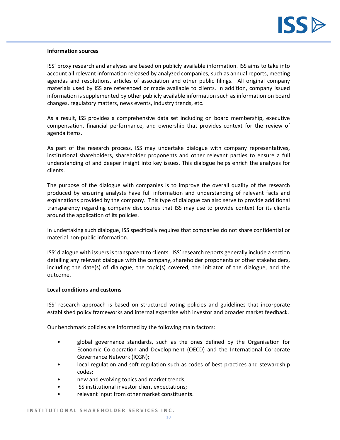

### **Information sources**

ISS' proxy research and analyses are based on publicly available information. ISS aims to take into account all relevant information released by analyzed companies, such as annual reports, meeting agendas and resolutions, articles of association and other public filings. All original company materials used by ISS are referenced or made available to clients. In addition, company issued information is supplemented by other publicly available information such as information on board changes, regulatory matters, news events, industry trends, etc.

As a result, ISS provides a comprehensive data set including on board membership, executive compensation, financial performance, and ownership that provides context for the review of agenda items.

As part of the research process, ISS may undertake dialogue with company representatives, institutional shareholders, shareholder proponents and other relevant parties to ensure a full understanding of and deeper insight into key issues. This dialogue helps enrich the analyses for clients.

The purpose of the dialogue with companies is to improve the overall quality of the research produced by ensuring analysts have full information and understanding of relevant facts and explanations provided by the company. This type of dialogue can also serve to provide additional transparency regarding company disclosures that ISS may use to provide context for its clients around the application of its policies.

In undertaking such dialogue, ISS specifically requires that companies do not share confidential or material non-public information.

ISS' dialogue with issuers is transparent to clients. ISS' research reports generally include a section detailing any relevant dialogue with the company, shareholder proponents or other stakeholders, including the date(s) of dialogue, the topic(s) covered, the initiator of the dialogue, and the outcome.

#### **Local conditions and customs**

ISS' research approach is based on structured voting policies and guidelines that incorporate established policy frameworks and internal expertise with investor and broader market feedback.

Our benchmark policies are informed by the following main factors:

- global governance standards, such as the ones defined by the Organisation for Economic Co-operation and Development (OECD) and the International Corporate Governance Network (ICGN);
- local regulation and soft regulation such as codes of best practices and stewardship codes;
- new and evolving topics and market trends;
- ISS institutional investor client expectations;
- relevant input from other market constituents.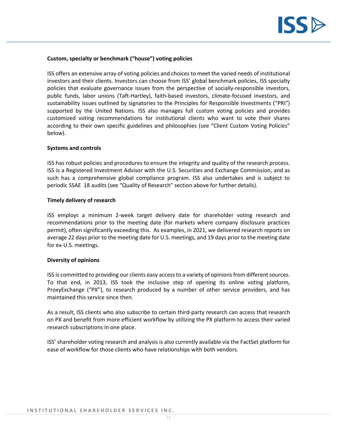

#### **Custom, specialty or benchmark ("house") voting policies**

ISS offers an extensive array of voting policies and choices to meet the varied needs of institutional investors and their clients. Investors can choose from ISS' global benchmark policies, ISS specialty policies that evaluate governance issues from the perspective of socially-responsible investors, public funds, labor unions (Taft-Hartley), faith-based investors, climate-focused investors, and sustainability issues outlined by signatories to the Principles for Responsible Investments ("PRI") supported by the United Nations. ISS also manages full custom voting policies and provides customized voting recommendations for institutional clients who want to vote their shares according to their own specific guidelines and philosophies (see "Client Custom Voting Policies" below).

#### **Systems and controls**

ISS has robust policies and procedures to ensure the integrity and quality of the research process. ISS is a Registered Investment Advisor with the U.S. Securities and Exchange Commission, and as such has a comprehensive global compliance program. ISS also undertakes and is subject to periodic SSAE 18 audits (see "Quality of Research" section above for further details).

#### **Timely delivery of research**

ISS employs a minimum 2-week target delivery date for shareholder voting research and recommendations prior to the meeting date (for markets where company disclosure practices permit), often significantly exceeding this. As examples, in 2021, we delivered research reports on average 22 days prior to the meeting date for U.S. meetings, and 19 days prior to the meeting date for ex-U.S. meetings.

#### **Diversity of opinions**

ISS is committed to providing our clients easy access to a variety of opinions from different sources. To that end, in 2013, ISS took the inclusive step of opening its online voting platform, ProxyExchange ("PX"), to research produced by a number of other service providers, and has maintained this service since then.

As a result, ISS clients who also subscribe to certain third-party research can access that research on PX and benefit from more efficient workflow by utilizing the PX platform to access their varied research subscriptions in one place.

<span id="page-10-0"></span>ISS' shareholder voting research and analysis is also currently available via the FactSet platform for ease of workflow for those clients who have relationships with both vendors.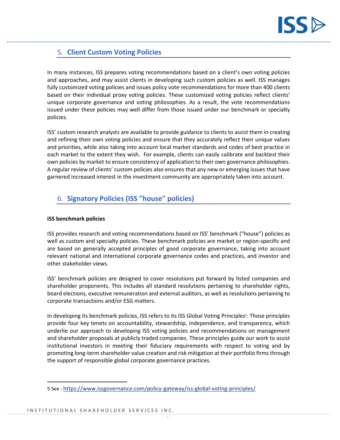

# 5. **Client Custom Voting Policies**

In many instances, ISS prepares voting recommendations based on a client's own voting policies and approaches, and may assist clients in developing such custom policies as well. ISS manages fully customized voting policies and issues policy vote recommendations for more than 400 clients based on their individual proxy voting policies. These customized voting policies reflect clients' unique corporate governance and voting philosophies. As a result, the vote recommendations issued under these policies may well differ from those issued under our benchmark or specialty policies.

ISS' custom research analysts are available to provide guidance to clients to assist them in creating and refining their own voting policies and ensure that they accurately reflect their unique values and priorities, while also taking into account local market standards and codes of best practice in each market to the extent they wish. For example, clients can easily calibrate and backtest their own policies by market to ensure consistency of application to their own governance philosophies. A regular review of clients' custom policies also ensures that any new or emerging issues that have garnered increased interest in the investment community are appropriately taken into account.

# <span id="page-11-0"></span>6. **Signatory Policies (ISS "house" policies)**

## **ISS benchmark policies**

ISS provides research and voting recommendations based on ISS' benchmark ("house") policies as well as custom and specialty policies. These benchmark policies are market or region-specific and are based on generally accepted principles of good corporate governance, taking into account relevant national and international corporate governance codes and practices, and investor and other stakeholder views.

ISS' benchmark policies are designed to cover resolutions put forward by listed companies and shareholder proponents. This includes all standard resolutions pertaining to shareholder rights, board elections, executive remuneration and external auditors, as well as resolutions pertaining to corporate transactions and/or ESG matters.

In developing its benchmark policies, ISS refers to its ISS Global Voting Principles<sup>5</sup>. Those principles provide four key tenets on accountability, stewardship, independence, and transparency, which underlie our approach to developing ISS voting policies and recommendations on management and shareholder proposals at publicly traded companies. These principles guide our work to assist institutional investors in meeting their fiduciary requirements with respect to voting and by promoting long-term shareholder value creation and risk mitigation at their portfolio firms through the support of responsible global corporate governance practices.

<sup>5</sup> See : <https://www.issgovernance.com/policy-gateway/iss-global-voting-principles/>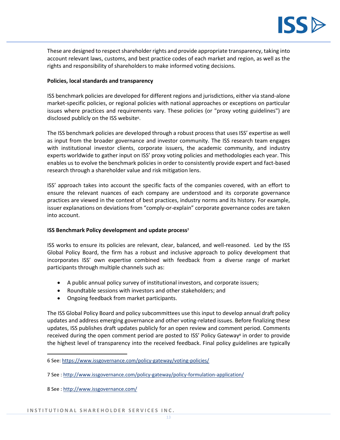

These are designed to respect shareholder rights and provide appropriate transparency, taking into account relevant laws, customs, and best practice codes of each market and region, as well as the rights and responsibility of shareholders to make informed voting decisions.

## **Policies, local standards and transparency**

ISS benchmark policies are developed for different regions and jurisdictions, either via stand-alone market-specific policies, or regional policies with national approaches or exceptions on particular issues where practices and requirements vary. These policies (or "proxy voting guidelines") are disclosed publicly on the ISS website<sup>6</sup>.

The ISS benchmark policies are developed through a robust process that uses ISS' expertise as well as input from the broader governance and investor community. The ISS research team engages with institutional investor clients, corporate issuers, the academic community, and industry experts worldwide to gather input on ISS' proxy voting policies and methodologies each year. This enables us to evolve the benchmark policies in order to consistently provide expert and fact-based research through a shareholder value and risk mitigation lens.

ISS' approach takes into account the specific facts of the companies covered, with an effort to ensure the relevant nuances of each company are understood and its corporate governance practices are viewed in the context of best practices, industry norms and its history. For example, issuer explanations on deviations from "comply-or-explain" corporate governance codes are taken into account.

## **ISS Benchmark Policy development and update process<sup>7</sup>**

ISS works to ensure its policies are relevant, clear, balanced, and well-reasoned. Led by the ISS Global Policy Board, the firm has a robust and inclusive approach to policy development that incorporates ISS' own expertise combined with feedback from a diverse range of market participants through multiple channels such as:

- A public annual policy survey of institutional investors, and corporate issuers;
- Roundtable sessions with investors and other stakeholders; and
- Ongoing feedback from market participants.

The ISS Global Policy Board and policy subcommittees use this input to develop annual draft policy updates and address emerging governance and other voting-related issues. Before finalizing these updates, ISS publishes draft updates publicly for an open review and comment period. Comments received during the open comment period are posted to ISS' Policy Gateway<sup>8</sup> in order to provide the highest level of transparency into the received feedback. Final policy guidelines are typically

<sup>6</sup> See:<https://www.issgovernance.com/policy-gateway/voting-policies/>

<sup>7</sup> See :<http://www.issgovernance.com/policy-gateway/policy-formulation-application/>

<sup>8</sup> See :<http://www.issgovernance.com/>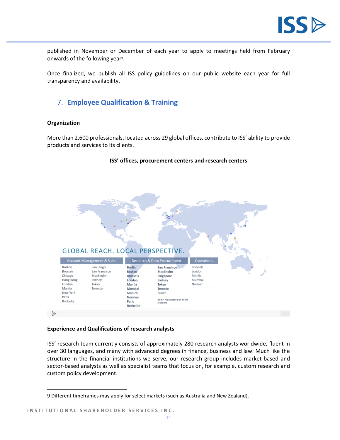

published in November or December of each year to apply to meetings held from February onwards of the following year<sup>9</sup>.

Once finalized, we publish all ISS policy guidelines on our public website each year for full transparency and availability.

# <span id="page-13-0"></span>7. **Employee Qualification & Training**

#### **Organization**

More than 2,600 professionals, located across 29 global offices, contribute to ISS' ability to provide products and services to its clients.

**ISS' offices, procurement centers and research centers**



## **Experience and Qualifications of research analysts**

ISS' research team currently consists of approximately 280 research analysts worldwide, fluent in over 30 languages, and many with advanced degrees in finance, business and law. Much like the structure in the financial institutions we serve, our research group includes market-based and sector-based analysts as well as specialist teams that focus on, for example, custom research and custom policy development.

<sup>9</sup> Different timeframes may apply for select markets (such as Australia and New Zealand).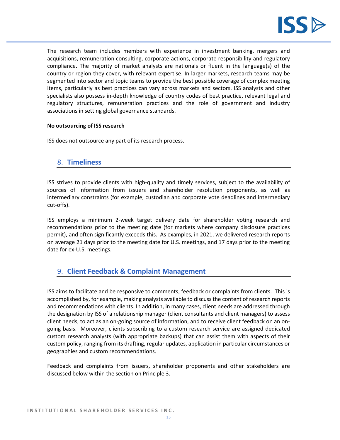

The research team includes members with experience in investment banking, mergers and acquisitions, remuneration consulting, corporate actions, corporate responsibility and regulatory compliance. The majority of market analysts are nationals or fluent in the language(s) of the country or region they cover, with relevant expertise. In larger markets, research teams may be segmented into sector and topic teams to provide the best possible coverage of complex meeting items, particularly as best practices can vary across markets and sectors. ISS analysts and other specialists also possess in-depth knowledge of country codes of best practice, relevant legal and regulatory structures, remuneration practices and the role of government and industry associations in setting global governance standards.

## **No outsourcing of ISS research**

ISS does not outsource any part of its research process.

## <span id="page-14-0"></span>8. **Timeliness**

ISS strives to provide clients with high-quality and timely services, subject to the availability of sources of information from issuers and shareholder resolution proponents, as well as intermediary constraints (for example, custodian and corporate vote deadlines and intermediary cut-offs).

ISS employs a minimum 2-week target delivery date for shareholder voting research and recommendations prior to the meeting date (for markets where company disclosure practices permit), and often significantly exceeds this. As examples, in 2021, we delivered research reports on average 21 days prior to the meeting date for U.S. meetings, and 17 days prior to the meeting date for ex-U.S. meetings.

# <span id="page-14-1"></span>9. **Client Feedback & Complaint Management**

ISS aims to facilitate and be responsive to comments, feedback or complaints from clients. This is accomplished by, for example, making analysts available to discuss the content of research reports and recommendations with clients. In addition, in many cases, client needs are addressed through the designation by ISS of a relationship manager (client consultants and client managers) to assess client needs, to act as an on-going source of information, and to receive client feedback on an ongoing basis. Moreover, clients subscribing to a custom research service are assigned dedicated custom research analysts (with appropriate backups) that can assist them with aspects of their custom policy, ranging from its drafting, regular updates, application in particular circumstances or geographies and custom recommendations.

Feedback and complaints from issuers, shareholder proponents and other stakeholders are discussed below within the section on Principle 3.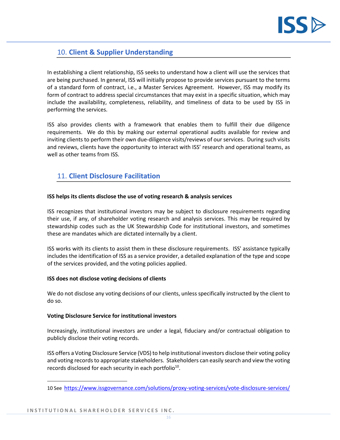

# <span id="page-15-0"></span>10. **Client & Supplier Understanding**

In establishing a client relationship, ISS seeks to understand how a client will use the services that are being purchased. In general, ISS will initially propose to provide services pursuant to the terms of a standard form of contract, i.e., a Master Services Agreement. However, ISS may modify its form of contract to address special circumstances that may exist in a specific situation, which may include the availability, completeness, reliability, and timeliness of data to be used by ISS in performing the services.

ISS also provides clients with a framework that enables them to fulfill their due diligence requirements. We do this by making our external operational audits available for review and inviting clients to perform their own due-diligence visits/reviews of our services. During such visits and reviews, clients have the opportunity to interact with ISS' research and operational teams, as well as other teams from ISS.

# <span id="page-15-1"></span>11. **Client Disclosure Facilitation**

## **ISS helps its clients disclose the use of voting research & analysis services**

ISS recognizes that institutional investors may be subject to disclosure requirements regarding their use, if any, of shareholder voting research and analysis services. This may be required by stewardship codes such as the UK Stewardship Code for institutional investors, and sometimes these are mandates which are dictated internally by a client.

ISS works with its clients to assist them in these disclosure requirements. ISS' assistance typically includes the identification of ISS as a service provider, a detailed explanation of the type and scope of the services provided, and the voting policies applied.

## **ISS does not disclose voting decisions of clients**

We do not disclose any voting decisions of our clients, unless specifically instructed by the client to do so.

#### **Voting Disclosure Service for institutional investors**

Increasingly, institutional investors are under a legal, fiduciary and/or contractual obligation to publicly disclose their voting records.

ISS offers a Voting Disclosure Service (VDS) to help institutional investors disclose their voting policy and voting records to appropriate stakeholders. Stakeholders can easily search and view the voting records disclosed for each security in each portfolio<sup>10</sup>.

<sup>10</sup> See <https://www.issgovernance.com/solutions/proxy-voting-services/vote-disclosure-services/>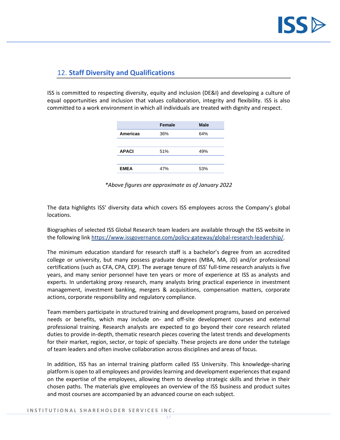

# <span id="page-16-0"></span>12. **Staff Diversity and Qualifications**

ISS is committed to respecting diversity, equity and inclusion (DE&I) and developing a culture of equal opportunities and inclusion that values collaboration, integrity and flexibility. ISS is also committed to a work environment in which all individuals are treated with dignity and respect.

|                 | <b>Female</b> | <b>Male</b> |
|-----------------|---------------|-------------|
| <b>Americas</b> | 36%           | 64%         |
|                 |               |             |
| <b>APACI</b>    | 51%           | 49%         |
|                 |               |             |
| <b>EMEA</b>     | 47%           | 53%         |

*\*Above figures are approximate as of January 2022*

The data highlights ISS' diversity data which covers ISS employees across the Company's global locations.

Biographies of selected ISS Global Research team leaders are available through the ISS website in the following lin[k https://www.issgovernance.com/policy-gateway/global-research-leadership/.](https://www.issgovernance.com/policy-gateway/global-research-leadership/)

The minimum education standard for research staff is a bachelor's degree from an accredited college or university, but many possess graduate degrees (MBA, MA, JD) and/or professional certifications (such as CFA, CPA, CEP). The average tenure of ISS' full-time research analysts is five years, and many senior personnel have ten years or more of experience at ISS as analysts and experts. In undertaking proxy research, many analysts bring practical experience in investment management, investment banking, mergers & acquisitions, compensation matters, corporate actions, corporate responsibility and regulatory compliance.

Team members participate in structured training and development programs, based on perceived needs or benefits, which may include on- and off-site development courses and external professional training. Research analysts are expected to go beyond their core research related duties to provide in-depth, thematic research pieces covering the latest trends and developments for their market, region, sector, or topic of specialty. These projects are done under the tutelage of team leaders and often involve collaboration across disciplines and areas of focus.

In addition, ISS has an internal training platform called ISS University. This knowledge-sharing platform is open to all employees and provides learning and development experiences that expand on the expertise of the employees, allowing them to develop strategic skills and thrive in their chosen paths. The materials give employees an overview of the ISS business and product suites and most courses are accompanied by an advanced course on each subject.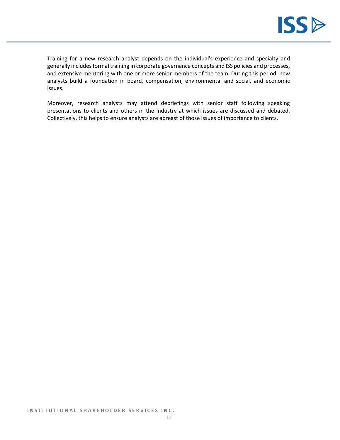

Training for a new research analyst depends on the individual's experience and specialty and generally includes formal training in corporate governance concepts and ISS policies and processes, and extensive mentoring with one or more senior members of the team. During this period, new analysts build a foundation in board, compensation, environmental and social, and economic issues.

Moreover, research analysts may attend debriefings with senior staff following speaking presentations to clients and others in the industry at which issues are discussed and debated. Collectively, this helps to ensure analysts are abreast of those issues of importance to clients.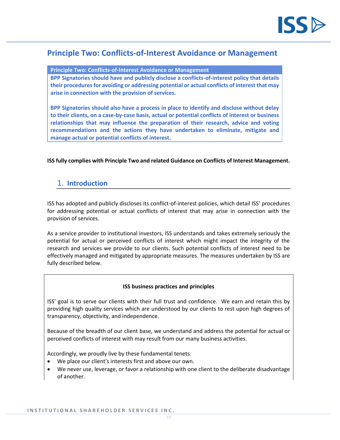

# <span id="page-18-0"></span>**Principle Two: Conflicts-of-Interest Avoidance or Management**

**Principle Two: Conflicts-of-Interest Avoidance or Management** 

**BPP Signatories should have and publicly disclose a conflicts-of-interest policy that details their procedures for avoiding or addressing potential or actual conflicts of interest that may arise in connection with the provision of services.**

**BPP Signatories should also have a process in place to identify and disclose without delay to their clients, on a case-by-case basis, actual or potential conflicts of interest or business relationships that may influence the preparation of their research, advice and voting recommendations and the actions they have undertaken to eliminate, mitigate and manage actual or potential conflicts of interest.**

**ISS fully complies with Principle Two and related Guidance on Conflicts of Interest Management.**

# <span id="page-18-1"></span>1. **Introduction**

ISS has adopted and publicly discloses its conflict-of-interest policies, which detail ISS' procedures for addressing potential or actual conflicts of interest that may arise in connection with the provision of services.

As a service provider to institutional investors, ISS understands and takes extremely seriously the potential for actual or perceived conflicts of interest which might impact the integrity of the research and services we provide to our clients. Such potential conflicts of interest need to be effectively managed and mitigated by appropriate measures. The measures undertaken by ISS are fully described below.

## **ISS business practices and principles**

ISS' goal is to serve our clients with their full trust and confidence. We earn and retain this by providing high quality services which are understood by our clients to rest upon high degrees of transparency, objectivity, and independence.

Because of the breadth of our client base, we understand and address the potential for actual or perceived conflicts of interest with may result from our many business activities.

Accordingly, we proudly live by these fundamental tenets:

- We place our client's interests first and above our own.
- We never use, leverage, or favor a relationship with one client to the deliberate disadvantage of another.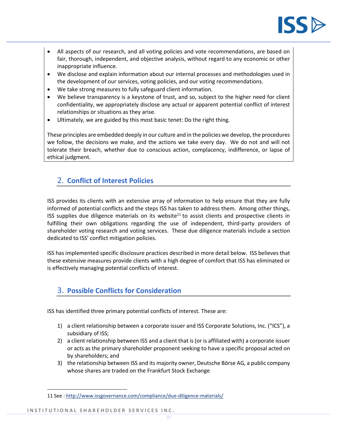

- All aspects of our research, and all voting policies and vote recommendations, are based on fair, thorough, independent, and objective analysis, without regard to any economic or other inappropriate influence.
- We disclose and explain information about our internal processes and methodologies used in the development of our services, voting policies, and our voting recommendations.
- We take strong measures to fully safeguard client information.
- We believe transparency is a keystone of trust, and so, subject to the higher need for client confidentiality, we appropriately disclose any actual or apparent potential conflict of interest relationships or situations as they arise.
- Ultimately, we are guided by this most basic tenet: Do the right thing.

These principles are embedded deeply in our culture and in the policies we develop, the procedures we follow, the decisions we make, and the actions we take every day. We do not and will not tolerate their breach, whether due to conscious action, complacency, indifference, or lapse of ethical judgment.

# <span id="page-19-0"></span>2. **Conflict of Interest Policies**

ISS provides its clients with an extensive array of information to help ensure that they are fully informed of potential conflicts and the steps ISS has taken to address them. Among other things, ISS supplies due diligence materials on its website<sup>11</sup> to assist clients and prospective clients in fulfilling their own obligations regarding the use of independent, third-party providers of shareholder voting research and voting services. These due diligence materials include a section dedicated to ISS' conflict mitigation policies.

ISS has implemented specific disclosure practices described in more detail below. ISS believes that these extensive measures provide clients with a high degree of comfort that ISS has eliminated or is effectively managing potential conflicts of interest.

# <span id="page-19-1"></span>3. **Possible Conflicts for Consideration**

ISS has identified three primary potential conflicts of interest. These are:

- 1) a client relationship between a corporate issuer and ISS Corporate Solutions, Inc. ("ICS"), a subsidiary of ISS;
- 2) a client relationship between ISS and a client that is (or is affiliated with) a corporate issuer or acts as the primary shareholder proponent seeking to have a specific proposal acted on by shareholders; and
- 3) the relationship between ISS and its majority owner, Deutsche Börse AG, a public company whose shares are traded on the Frankfurt Stock Exchange

<sup>11</sup> See :<http://www.issgovernance.com/compliance/due-diligence-materials/>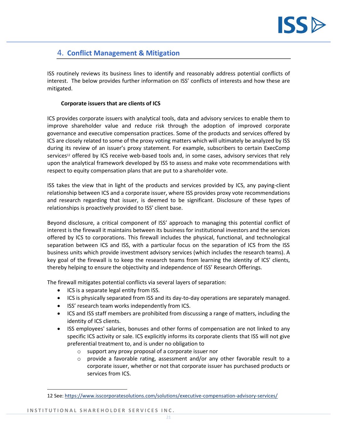

# <span id="page-20-0"></span>4. **Conflict Management & Mitigation**

ISS routinely reviews its business lines to identify and reasonably address potential conflicts of interest. The below provides further information on ISS' conflicts of interests and how these are mitigated.

## **Corporate issuers that are clients of ICS**

ICS provides corporate issuers with analytical tools, data and advisory services to enable them to improve shareholder value and reduce risk through the adoption of improved corporate governance and executive compensation practices. Some of the products and services offered by ICS are closely related to some of the proxy voting matters which will ultimately be analyzed by ISS during its review of an issuer's proxy statement. For example, subscribers to certain ExecComp services<sup>12</sup> offered by ICS receive web-based tools and, in some cases, advisory services that rely upon the analytical framework developed by ISS to assess and make vote recommendations with respect to equity compensation plans that are put to a shareholder vote.

ISS takes the view that in light of the products and services provided by ICS, any paying-client relationship between ICS and a corporate issuer, where ISS provides proxy vote recommendations and research regarding that issuer, is deemed to be significant. Disclosure of these types of relationships is proactively provided to ISS' client base.

Beyond disclosure, a critical component of ISS' approach to managing this potential conflict of interest is the firewall it maintains between its business for institutional investors and the services offered by ICS to corporations. This firewall includes the physical, functional, and technological separation between ICS and ISS, with a particular focus on the separation of ICS from the ISS business units which provide investment advisory services (which includes the research teams). A key goal of the firewall is to keep the research teams from learning the identity of ICS' clients, thereby helping to ensure the objectivity and independence of ISS' Research Offerings.

The firewall mitigates potential conflicts via several layers of separation:

- ICS is a separate legal entity from ISS.
- ICS is physically separated from ISS and its day-to-day operations are separately managed.
- ISS' research team works independently from ICS.
- ICS and ISS staff members are prohibited from discussing a range of matters, including the identity of ICS clients.
- ISS employees' salaries, bonuses and other forms of compensation are not linked to any specific ICS activity or sale. ICS explicitly informs its corporate clients that ISS will not give preferential treatment to, and is under no obligation to
	- o support any proxy proposal of a corporate issuer nor
	- $\circ$  provide a favorable rating, assessment and/or any other favorable result to a corporate issuer, whether or not that corporate issuer has purchased products or services from ICS.

<sup>12</sup> See:<https://www.isscorporatesolutions.com/solutions/executive-compensation-advisory-services/>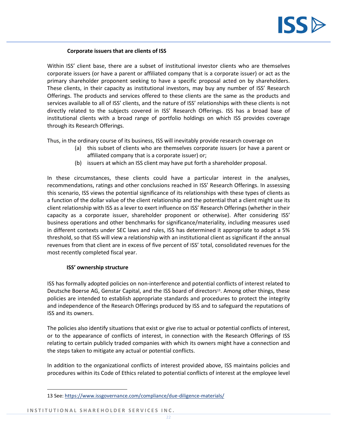

### **Corporate issuers that are clients of ISS**

Within ISS' client base, there are a subset of institutional investor clients who are themselves corporate issuers (or have a parent or affiliated company that is a corporate issuer) or act as the primary shareholder proponent seeking to have a specific proposal acted on by shareholders. These clients, in their capacity as institutional investors, may buy any number of ISS' Research Offerings. The products and services offered to these clients are the same as the products and services available to all of ISS' clients, and the nature of ISS' relationships with these clients is not directly related to the subjects covered in ISS' Research Offerings. ISS has a broad base of institutional clients with a broad range of portfolio holdings on which ISS provides coverage through its Research Offerings.

Thus, in the ordinary course of its business, ISS will inevitably provide research coverage on

- (a) this subset of clients who are themselves corporate issuers (or have a parent or affiliated company that is a corporate issuer) or;
- (b) issuers at which an ISS client may have put forth a shareholder proposal.

In these circumstances, these clients could have a particular interest in the analyses, recommendations, ratings and other conclusions reached in ISS' Research Offerings. In assessing this scenario, ISS views the potential significance of its relationships with these types of clients as a function of the dollar value of the client relationship and the potential that a client might use its client relationship with ISS as a lever to exert influence on ISS' Research Offerings (whether in their capacity as a corporate issuer, shareholder proponent or otherwise). After considering ISS' business operations and other benchmarks for significance/materiality, including measures used in different contexts under SEC laws and rules, ISS has determined it appropriate to adopt a 5% threshold, so that ISS will view a relationship with an institutional client as significant if the annual revenues from that client are in excess of five percent of ISS' total, consolidated revenues for the most recently completed fiscal year.

#### **ISS' ownership structure**

ISS has formally adopted policies on non-interference and potential conflicts of interest related to Deutsche Boerse AG, Genstar Capital, and the ISS board of directors<sup>13</sup>. Among other things, these policies are intended to establish appropriate standards and procedures to protect the integrity and independence of the Research Offerings produced by ISS and to safeguard the reputations of ISS and its owners.

The policies also identify situations that exist or give rise to actual or potential conflicts of interest, or to the appearance of conflicts of interest, in connection with the Research Offerings of ISS relating to certain publicly traded companies with which its owners might have a connection and the steps taken to mitigate any actual or potential conflicts.

In addition to the organizational conflicts of interest provided above, ISS maintains policies and procedures within its Code of Ethics related to potential conflicts of interest at the employee level

<sup>13</sup> See:<https://www.issgovernance.com/compliance/due-diligence-materials/>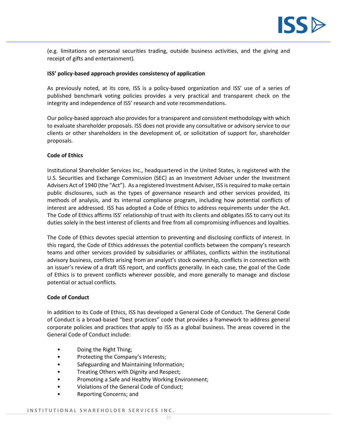

(e.g. limitations on personal securities trading, outside business activities, and the giving and receipt of gifts and entertainment).

#### **ISS' policy-based approach provides consistency of application**

As previously noted, at its core, ISS is a policy-based organization and ISS' use of a series of published benchmark voting policies provides a very practical and transparent check on the integrity and independence of ISS' research and vote recommendations.

Our policy-based approach also provides for a transparent and consistent methodology with which to evaluate shareholder proposals. ISS does not provide any consultative or advisory service to our clients or other shareholders in the development of, or solicitation of support for, shareholder proposals.

#### **Code of Ethics**

Institutional Shareholder Services Inc., headquartered in the United States, is registered with the U.S. Securities and Exchange Commission (SEC) as an Investment Adviser under the Investment Advisers Act of 1940 (the "Act"). As a registered Investment Adviser, ISS is required to make certain public disclosures, such as the types of governance research and other services provided, its methods of analysis, and its internal compliance program, including how potential conflicts of interest are addressed. ISS has adopted a Code of Ethics to address requirements under the Act. The Code of Ethics affirms ISS' relationship of trust with its clients and obligates ISS to carry out its duties solely in the best interest of clients and free from all compromising influences and loyalties.

The Code of Ethics devotes special attention to preventing and disclosing conflicts of interest. In this regard, the Code of Ethics addresses the potential conflicts between the company's research teams and other services provided by subsidiaries or affiliates, conflicts within the institutional advisory business, conflicts arising from an analyst's stock ownership, conflicts in connection with an issuer's review of a draft ISS report, and conflicts generally. In each case, the goal of the Code of Ethics is to prevent conflicts wherever possible, and more generally to manage and disclose potential or actual conflicts.

#### **Code of Conduct**

In addition to its Code of Ethics, ISS has developed a General Code of Conduct. The General Code of Conduct is a broad-based "best practices" code that provides a framework to address general corporate policies and practices that apply to ISS as a global business. The areas covered in the General Code of Conduct include:

- Doing the Right Thing;
- Protecting the Company's Interests;
- Safeguarding and Maintaining Information;
- Treating Others with Dignity and Respect;
- Promoting a Safe and Healthy Working Environment;
- Violations of the General Code of Conduct;
- Reporting Concerns; and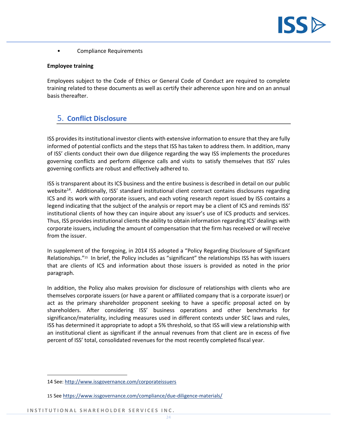

• Compliance Requirements

#### **Employee training**

Employees subject to the Code of Ethics or General Code of Conduct are required to complete training related to these documents as well as certify their adherence upon hire and on an annual basis thereafter.

# <span id="page-23-0"></span>5. **Conflict Disclosure**

ISS provides its institutional investor clients with extensive information to ensure that they are fully informed of potential conflicts and the steps that ISS has taken to address them. In addition, many of ISS' clients conduct their own due diligence regarding the way ISS implements the procedures governing conflicts and perform diligence calls and visits to satisfy themselves that ISS' rules governing conflicts are robust and effectively adhered to.

ISS is transparent about its ICS business and the entire business is described in detail on our public website<sup>14</sup>. Additionally, ISS' standard institutional client contract contains disclosures regarding ICS and its work with corporate issuers, and each voting research report issued by ISS contains a legend indicating that the subject of the analysis or report may be a client of ICS and reminds ISS' institutional clients of how they can inquire about any issuer's use of ICS products and services. Thus, ISS provides institutional clients the ability to obtain information regarding ICS' dealings with corporate issuers, including the amount of compensation that the firm has received or will receive from the issuer.

In supplement of the foregoing, in 2014 ISS adopted a "Policy Regarding Disclosure of Significant Relationships."<sup>15</sup> In brief, the Policy includes as "significant" the relationships ISS has with issuers that are clients of ICS and information about those issuers is provided as noted in the prior paragraph.

In addition, the Policy also makes provision for disclosure of relationships with clients who are themselves corporate issuers (or have a parent or affiliated company that is a corporate issuer) or act as the primary shareholder proponent seeking to have a specific proposal acted on by shareholders. After considering ISS' business operations and other benchmarks for significance/materiality, including measures used in different contexts under SEC laws and rules, ISS has determined it appropriate to adopt a 5% threshold, so that ISS will view a relationship with an institutional client as significant if the annual revenues from that client are in excess of five percent of ISS' total, consolidated revenues for the most recently completed fiscal year.

<sup>14</sup> See:<http://www.issgovernance.com/corporateissuers>

<sup>15</sup> Se[e https://www.issgovernance.com/compliance/due-diligence-materials/](https://www.issgovernance.com/compliance/due-diligence-materials/)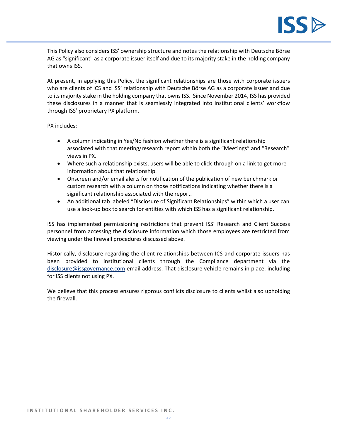

This Policy also considers ISS' ownership structure and notes the relationship with Deutsche Börse AG as "significant" as a corporate issuer itself and due to its majority stake in the holding company that owns ISS.

At present, in applying this Policy, the significant relationships are those with corporate issuers who are clients of ICS and ISS' relationship with Deutsche Börse AG as a corporate issuer and due to its majority stake in the holding company that owns ISS. Since November 2014, ISS has provided these disclosures in a manner that is seamlessly integrated into institutional clients' workflow through ISS' proprietary PX platform.

PX includes:

- A column indicating in Yes/No fashion whether there is a significant relationship associated with that meeting/research report within both the "Meetings" and "Research" views in PX.
- Where such a relationship exists, users will be able to click-through on a link to get more information about that relationship.
- Onscreen and/or email alerts for notification of the publication of new benchmark or custom research with a column on those notifications indicating whether there is a significant relationship associated with the report.
- An additional tab labeled "Disclosure of Significant Relationships" within which a user can use a look-up box to search for entities with which ISS has a significant relationship.

ISS has implemented permissioning restrictions that prevent ISS' Research and Client Success personnel from accessing the disclosure information which those employees are restricted from viewing under the firewall procedures discussed above.

Historically, disclosure regarding the client relationships between ICS and corporate issuers has been provided to institutional clients through the Compliance department via the [disclosure@issgovernance.com](mailto:disclosure@issgovernance.com) email address. That disclosure vehicle remains in place, including for ISS clients not using PX.

We believe that this process ensures rigorous conflicts disclosure to clients whilst also upholding the firewall.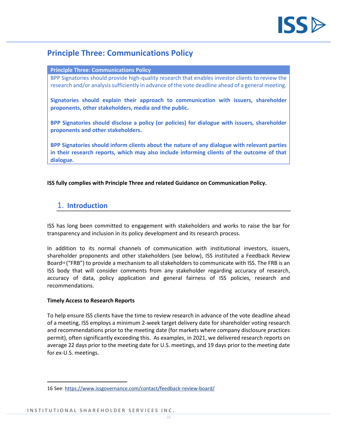

# <span id="page-25-0"></span>**Principle Three: Communications Policy**

#### **Principle Three: Communications Policy**

BPP Signatories should provide high-quality research that enables investor clients to review the research and/or analysis sufficiently in advance of the vote deadline ahead of a general meeting.

**Signatories should explain their approach to communication with issuers, shareholder proponents, other stakeholders, media and the public.**

**BPP Signatories should disclose a policy (or policies) for dialogue with issuers, shareholder proponents and other stakeholders.**

**BPP Signatories should inform clients about the nature of any dialogue with relevant parties in their research reports, which may also include informing clients of the outcome of that dialogue.**

## **ISS fully complies with Principle Three and related Guidance on Communication Policy.**

# <span id="page-25-1"></span>1. **Introduction**

ISS has long been committed to engagement with stakeholders and works to raise the bar for transparency and inclusion in its policy development and its research process.

In addition to its normal channels of communication with institutional investors, issuers, shareholder proponents and other stakeholders (see below), ISS instituted a Feedback Review Board<sup>16</sup> ("FRB") to provide a mechanism to all stakeholders to communicate with ISS. The FRB is an ISS body that will consider comments from any stakeholder regarding accuracy of research, accuracy of data, policy application and general fairness of ISS policies, research and recommendations.

## **Timely Access to Research Reports**

To help ensure ISS clients have the time to review research in advance of the vote deadline ahead of a meeting, ISS employs a minimum 2-week target delivery date for shareholder voting research and recommendations prior to the meeting date (for markets where company disclosure practices permit), often significantly exceeding this. As examples, in 2021, we delivered research reports on average 22 days prior to the meeting date for U.S. meetings, and 19 days prior to the meeting date for ex-U.S. meetings.

<sup>16</sup> See:<https://www.issgovernance.com/contact/feedback-review-board/>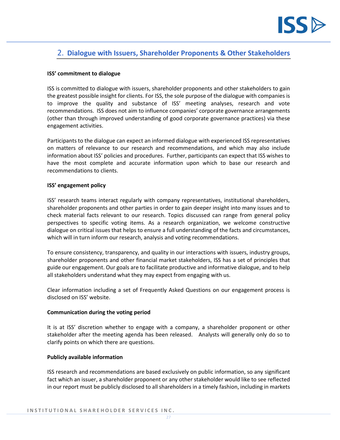

# <span id="page-26-0"></span>2. **Dialogue with Issuers, Shareholder Proponents & Other Stakeholders**

#### **ISS' commitment to dialogue**

ISS is committed to dialogue with issuers, shareholder proponents and other stakeholders to gain the greatest possible insight for clients. For ISS, the sole purpose of the dialogue with companies is to improve the quality and substance of ISS' meeting analyses, research and vote recommendations. ISS does not aim to influence companies' corporate governance arrangements (other than through improved understanding of good corporate governance practices) via these engagement activities.

Participants to the dialogue can expect an informed dialogue with experienced ISS representatives on matters of relevance to our research and recommendations, and which may also include information about ISS' policies and procedures. Further, participants can expect that ISS wishes to have the most complete and accurate information upon which to base our research and recommendations to clients.

#### **ISS' engagement policy**

ISS' research teams interact regularly with company representatives, institutional shareholders, shareholder proponents and other parties in order to gain deeper insight into many issues and to check material facts relevant to our research. Topics discussed can range from general policy perspectives to specific voting items. As a research organization, we welcome constructive dialogue on critical issues that helps to ensure a full understanding of the facts and circumstances, which will in turn inform our research, analysis and voting recommendations.

To ensure consistency, transparency, and quality in our interactions with issuers, industry groups, shareholder proponents and other financial market stakeholders, ISS has a set of principles that guide our engagement. Our goals are to facilitate productive and informative dialogue, and to help all stakeholders understand what they may expect from engaging with us.

Clear information including a set of Frequently Asked Questions on our engagement process is disclosed on ISS' website.

#### **Communication during the voting period**

It is at ISS' discretion whether to engage with a company, a shareholder proponent or other stakeholder after the meeting agenda has been released. Analysts will generally only do so to clarify points on which there are questions.

#### **Publicly available information**

ISS research and recommendations are based exclusively on public information, so any significant fact which an issuer, a shareholder proponent or any other stakeholder would like to see reflected in our report must be publicly disclosed to all shareholders in a timely fashion, including in markets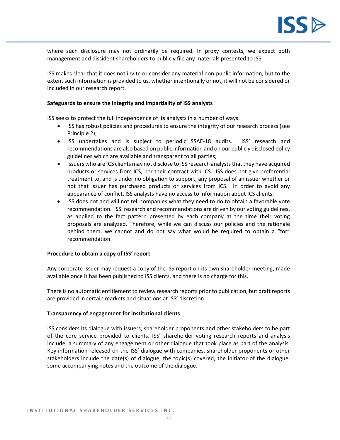

where such disclosure may not ordinarily be required. In proxy contests, we expect both management and dissident shareholders to publicly file any materials presented to ISS.

ISS makes clear that it does not invite or consider any material non-public information, but to the extent such information is provided to us, whether intentionally or not, it will not be considered or included in our research report.

#### **Safeguards to ensure the integrity and impartiality of ISS analysts**

ISS seeks to protect the full independence of its analysts in a number of ways:

- ISS has robust policies and procedures to ensure the integrity of our research process (see Principle 2);
- ISS undertakes and is subject to periodic SSAE-18 audits. ISS' research and recommendations are also based on public information and on our publicly disclosed policy guidelines which are available and transparent to all parties;
- Issuers who are ICS clients may not disclose to ISS research analyststhat they have acquired products or services from ICS, per their contract with ICS. ISS does not give preferential treatment to, and is under no obligation to support, any proposal of an issuer whether or not that issuer has purchased products or services from ICS. In order to avoid any appearance of conflict, ISS analysts have no access to information about ICS clients.
- ISS does not and will not tell companies what they need to do to obtain a favorable vote recommendation. ISS' research and recommendations are driven by our voting guidelines, as applied to the fact pattern presented by each company at the time their voting proposals are analyzed. Therefore, while we can discuss our policies and the rationale behind them, we cannot and do not say what would be required to obtain a "for" recommendation.

#### **Procedure to obtain a copy of ISS' report**

Any corporate issuer may request a copy of the ISS report on its own shareholder meeting, made available once it has been published to ISS clients, and there is no charge for this.

There is no automatic entitlement to review research reports prior to publication, but draft reports are provided in certain markets and situations at ISS' discretion.

#### **Transparency of engagement for institutional clients**

ISS considers its dialogue with issuers, shareholder proponents and other stakeholders to be part of the core service provided to clients. ISS' shareholder voting research reports and analysis include, a summary of any engagement or other dialogue that took place as part of the analysis. Key information released on the ISS' dialogue with companies, shareholder proponents or other stakeholders include the date(s) of dialogue, the topic(s) covered, the initiator of the dialogue, some accompanying notes and the outcome of the dialogue.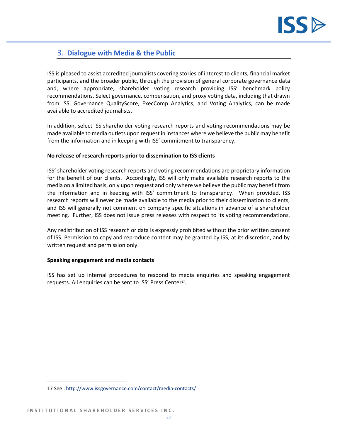

# <span id="page-28-0"></span>3. **Dialogue with Media & the Public**

ISS is pleased to assist accredited journalists covering stories of interest to clients, financial market participants, and the broader public, through the provision of general corporate governance data and, where appropriate, shareholder voting research providing ISS' benchmark policy recommendations. Select governance, compensation, and proxy voting data, including that drawn from ISS' [Governance QualityScore,](http://www.issgovernance.com/governance-solutions/investment-tools-data/quickscore/) [ExecComp Analytics,](http://www.issgovernance.com/governance-solutions/investment-tools-data/execcomp-analytics/) and [Voting Analytics,](http://www.issgovernance.com/governance-solutions/investment-tools-data/voting-analytics/) can be made available to accredited journalists.

In addition, select ISS shareholder voting research reports and voting recommendations may be made available to media outlets upon request in instances where we believe the public may benefit from the information and in keeping with ISS' commitment to transparency.

## **No release of research reports prior to dissemination to ISS clients**

ISS' shareholder voting research reports and voting recommendations are proprietary information for the benefit of our clients. Accordingly, ISS will only make available research reports to the media on a limited basis, only upon request and only where we believe the public may benefit from the information and in keeping with ISS' commitment to transparency. When provided, ISS research reports will never be made available to the media prior to their dissemination to clients, and ISS will generally not comment on company specific situations in advance of a shareholder meeting. Further, ISS does not issue press releases with respect to its voting recommendations.

Any redistribution of ISS research or data is expressly prohibited without the prior written consent of ISS. Permission to copy and reproduce content may be granted by ISS, at its discretion, and by written request and permission only.

## **Speaking engagement and media contacts**

ISS has set up internal procedures to respond to media enquiries and speaking engagement requests. All enquiries can be sent to ISS' Press Center<sup>17</sup>.

<sup>17</sup> See :<http://www.issgovernance.com/contact/media-contacts/>